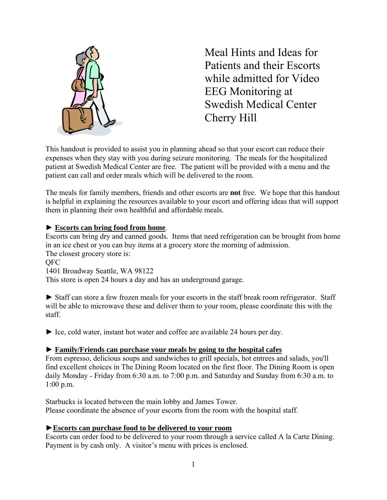

Meal Hints and Ideas for Patients and their Escorts while admitted for Video EEG Monitoring at Swedish Medical Center Cherry Hill

This handout is provided to assist you in planning ahead so that your escort can reduce their expenses when they stay with you during seizure monitoring. The meals for the hospitalized patient at Swedish Medical Center are free. The patient will be provided with a menu and the patient can call and order meals which will be delivered to the room.

The meals for family members, friends and other escorts are **not** free. We hope that this handout is helpful in explaining the resources available to your escort and offering ideas that will support them in planning their own healthful and affordable meals.

## ► **Escorts can bring food from home**.

Escorts can bring dry and canned goods. Items that need refrigeration can be brought from home in an ice chest or you can buy items at a grocery store the morning of admission. The closest grocery store is:

#### **OFC**

1401 Broadway Seattle, WA 98122

This store is open 24 hours a day and has an underground garage.

► Staff can store a few frozen meals for your escorts in the staff break room refrigerator. Staff will be able to microwave these and deliver them to your room, please coordinate this with the staff.

► Ice, cold water, instant hot water and coffee are available 24 hours per day.

### ► **Family/Friends can purchase your meals by going to the hospital cafes**

From espresso, delicious soups and sandwiches to grill specials, hot entrees and salads, you'll find excellent choices in The Dining Room located on the first floor. The Dining Room is open daily Monday - Friday from 6:30 a.m. to 7:00 p.m. and Saturday and Sunday from 6:30 a.m. to 1:00 p.m.

Starbucks is located between the main lobby and James Tower. Please coordinate the absence of your escorts from the room with the hospital staff.

### ►**Escorts can purchase food to be delivered to your room**

Escorts can order food to be delivered to your room through a service called A la Carte Dining. Payment is by cash only. A visitor's menu with prices is enclosed.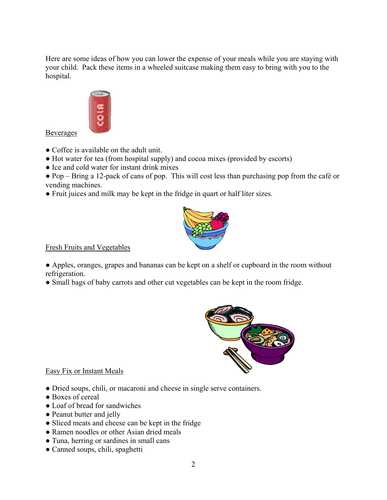Here are some ideas of how you can lower the expense of your meals while you are staying with your child. Pack these items in a wheeled suitcase making them easy to bring with you to the hospital.



Beverages

- Coffee is available on the adult unit.
- Hot water for tea (from hospital supply) and cocoa mixes (provided by escorts)
- Ice and cold water for instant drink mixes
- Pop Bring a 12-pack of cans of pop. This will cost less than purchasing pop from the café or vending machines.
- Fruit juices and milk may be kept in the fridge in quart or half liter sizes.



Fresh Fruits and Vegetables

● Apples, oranges, grapes and bananas can be kept on a shelf or cupboard in the room without refrigeration.

• Small bags of baby carrots and other cut vegetables can be kept in the room fridge.



### Easy Fix or Instant Meals

- Dried soups, chili, or macaroni and cheese in single serve containers.
- Boxes of cereal
- Loaf of bread for sandwiches
- Peanut butter and jelly
- Sliced meats and cheese can be kept in the fridge
- Ramen noodles or other Asian dried meals
- Tuna, herring or sardines in small cans
- Canned soups, chili, spaghetti